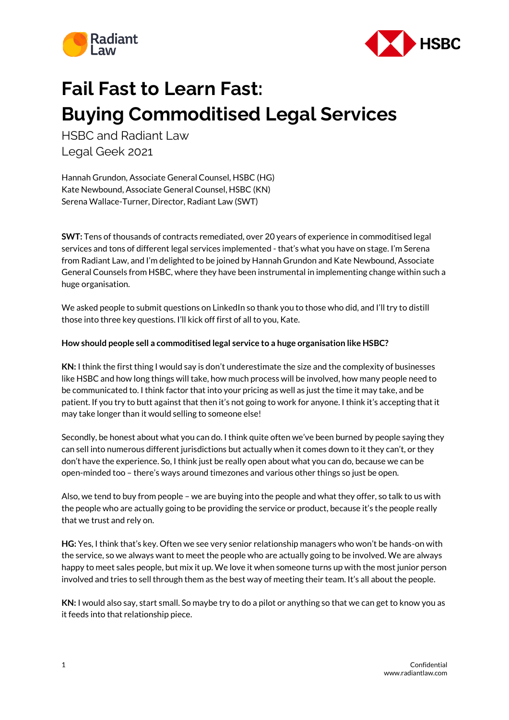



## **Fail Fast to Learn Fast: Buying Commoditised Legal Services**

HSBC and Radiant Law Legal Geek 2021

Hannah Grundon, Associate General Counsel, HSBC (HG) Kate Newbound, Associate General Counsel, HSBC (KN) Serena Wallace-Turner, Director, Radiant Law (SWT)

**SWT:** Tens of thousands of contracts remediated, over 20 years of experience in commoditised legal services and tons of different legal services implemented - that's what you have on stage. I'm Serena from Radiant Law, and I'm delighted to be joined by Hannah Grundon and Kate Newbound, Associate General Counsels from HSBC, where they have been instrumental in implementing change within such a huge organisation.

We asked people to submit questions on LinkedIn so thank you to those who did, and I'll try to distill those into three key questions. I'll kick off first of all to you, Kate.

## **How should people sell a commoditised legal service to a huge organisation like HSBC?**

**KN:** I think the first thing I would say is don't underestimate the size and the complexity of businesses like HSBC and how long things will take, how much process will be involved, how many people need to be communicated to. I think factor that into your pricing as well as just the time it may take, and be patient. If you try to butt against that then it's not going to work for anyone. I think it's accepting that it may take longer than it would selling to someone else!

Secondly, be honest about what you can do. I think quite often we've been burned by people saying they can sell into numerous different jurisdictions but actually when it comes down to it they can't, or they don't have the experience. So, I think just be really open about what you can do, because we can be open-minded too – there's ways around timezones and various other things so just be open.

Also, we tend to buy from people – we are buying into the people and what they offer, so talk to us with the people who are actually going to be providing the service or product, because it's the people really that we trust and rely on.

**HG:** Yes, I think that's key. Often we see very senior relationship managers who won't be hands-on with the service, so we always want to meet the people who are actually going to be involved. We are always happy to meet sales people, but mix it up. We love it when someone turns up with the most junior person involved and tries to sell through them as the best way of meeting their team. It's all about the people.

**KN:** I would also say, start small. So maybe try to do a pilot or anything so that we can get to know you as it feeds into that relationship piece.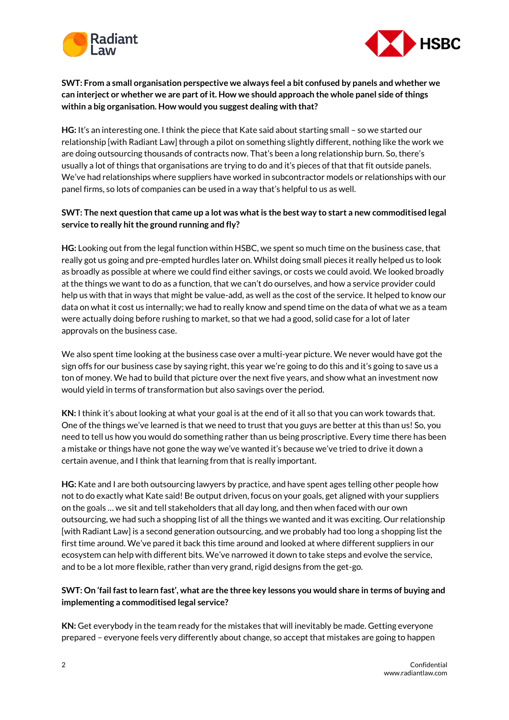



**SWT: From a small organisation perspective we always feel a bit confused by panels and whether we can interject or whether we are part of it. How we should approach the whole panel side of things within a big organisation. How would you suggest dealing with that?**

**HG:** It's an interesting one. I think the piece that Kate said about starting small – so we started our relationship [with Radiant Law] through a pilot on something slightly different, nothing like the work we are doing outsourcing thousands of contracts now. That's been a long relationship burn. So, there's usually a lot of things that organisations are trying to do and it's pieces of that that fit outside panels. We've had relationships where suppliers have worked in subcontractor models or relationships with our panel firms, so lots of companies can be used in a way that's helpful to us as well.

## **SWT: The next question that came up a lot was what is the best way to start a new commoditised legal service to really hit the ground running and fly?**

**HG:** Looking out from the legal function within HSBC, we spent so much time on the business case, that really got us going and pre-empted hurdles later on. Whilst doing small pieces it really helped us to look as broadly as possible at where we could find either savings, or costs we could avoid. We looked broadly at the things we want to do as a function, that we can't do ourselves, and how a service provider could help us with that in ways that might be value-add, as well as the cost of the service. It helped to know our data on what it cost us internally; we had to really know and spend time on the data of what we as a team were actually doing before rushing to market, so that we had a good, solid case for a lot of later approvals on the business case.

We also spent time looking at the business case over a multi-year picture. We never would have got the sign offs for our business case by saying right, this year we're going to do this and it's going to save us a ton of money. We had to build that picture over the next five years, and show what an investment now would yield in terms of transformation but also savings over the period.

**KN:** I think it's about looking at what your goal is at the end of it all so that you can work towards that. One of the things we've learned is that we need to trust that you guys are better at this than us! So, you need to tell us how you would do something rather than us being proscriptive. Every time there has been a mistake or things have not gone the way we've wanted it's because we've tried to drive it down a certain avenue, and I think that learning from that is really important.

**HG:** Kate and I are both outsourcing lawyers by practice, and have spent ages telling other people how not to do exactly what Kate said! Be output driven, focus on your goals, get aligned with your suppliers on the goals … we sit and tell stakeholders that all day long, and then when faced with our own outsourcing, we had such a shopping list of all the things we wanted and it was exciting. Our relationship [with Radiant Law] is a second generation outsourcing, and we probably had too long a shopping list the first time around. We've pared it back this time around and looked at where different suppliers in our ecosystem can help with different bits. We've narrowed it down to take steps and evolve the service, and to be a lot more flexible, rather than very grand, rigid designs from the get-go.

## **SWT: On 'fail fast to learn fast', what are the three key lessons you would share in terms of buying and implementing a commoditised legal service?**

**KN:** Get everybody in the team ready for the mistakes that will inevitably be made. Getting everyone prepared – everyone feels very differently about change, so accept that mistakes are going to happen